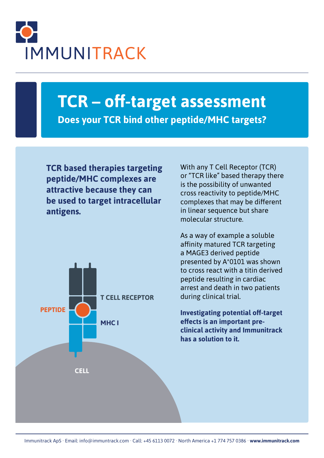

# **TCR – off-target assessment Does your TCR bind other peptide/MHC targets?**

**TCR based therapies targeting peptide/MHC complexes are attractive because they can be used to target intracellular antigens.** 



With any T Cell Receptor (TCR) or "TCR like" based therapy there is the possibility of unwanted cross reactivity to peptide/MHC complexes that may be different in linear sequence but share molecular structure.

As a way of example a soluble affinity matured TCR targeting a MAGE3 derived peptide presented by A\*0101 was shown to cross react with a titin derived peptide resulting in cardiac arrest and death in two patients during clinical trial.

**Investigating potential off-target effects is an important preclinical activity and Immunitrack has a solution to it.**